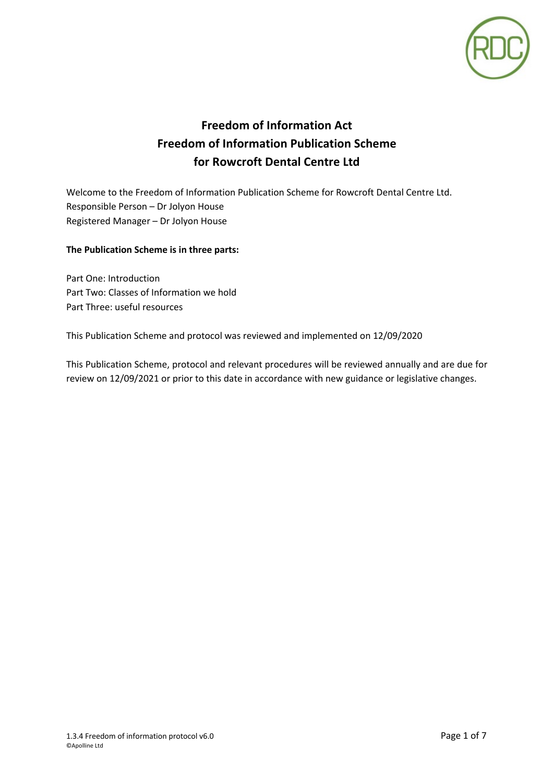

# **Freedom of Information Act Freedom of Information Publication Scheme for Rowcroft Dental Centre Ltd**

Welcome to the Freedom of Information Publication Scheme for Rowcroft Dental Centre Ltd. Responsible Person – Dr Jolyon House Registered Manager – Dr Jolyon House

## **The Publication Scheme is in three parts:**

Part One: Introduction Part Two: Classes of Information we hold Part Three: useful resources

This Publication Scheme and protocol was reviewed and implemented on 12/09/2020

This Publication Scheme, protocol and relevant procedures will be reviewed annually and are due for review on 12/09/2021 or prior to this date in accordance with new guidance or legislative changes.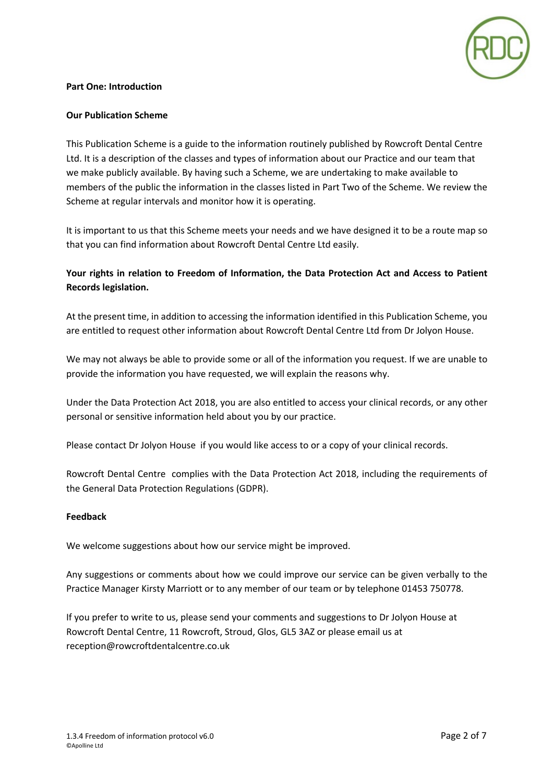

#### **Part One: Introduction**

#### **Our Publication Scheme**

This Publication Scheme is a guide to the information routinely published by Rowcroft Dental Centre Ltd. It is a description of the classes and types of information about our Practice and our team that we make publicly available. By having such a Scheme, we are undertaking to make available to members of the public the information in the classes listed in Part Two of the Scheme. We review the Scheme at regular intervals and monitor how it is operating.

It is important to us that this Scheme meets your needs and we have designed it to be a route map so that you can find information about Rowcroft Dental Centre Ltd easily.

## **Your rights in relation to Freedom of Information, the Data Protection Act and Access to Patient Records legislation.**

At the present time, in addition to accessing the information identified in this Publication Scheme, you are entitled to request other information about Rowcroft Dental Centre Ltd from Dr Jolyon House.

We may not always be able to provide some or all of the information you request. If we are unable to provide the information you have requested, we will explain the reasons why.

Under the Data Protection Act 2018, you are also entitled to access your clinical records, or any other personal or sensitive information held about you by our practice.

Please contact Dr Jolyon House if you would like access to or a copy of your clinical records.

Rowcroft Dental Centre complies with the Data Protection Act 2018, including the requirements of the General Data Protection Regulations (GDPR).

#### **Feedback**

We welcome suggestions about how our service might be improved.

Any suggestions or comments about how we could improve our service can be given verbally to the Practice Manager Kirsty Marriott or to any member of our team or by telephone 01453 750778.

If you prefer to write to us, please send your comments and suggestions to Dr Jolyon House at Rowcroft Dental Centre, 11 Rowcroft, Stroud, Glos, GL5 3AZ or please email us at reception@rowcroftdentalcentre.co.uk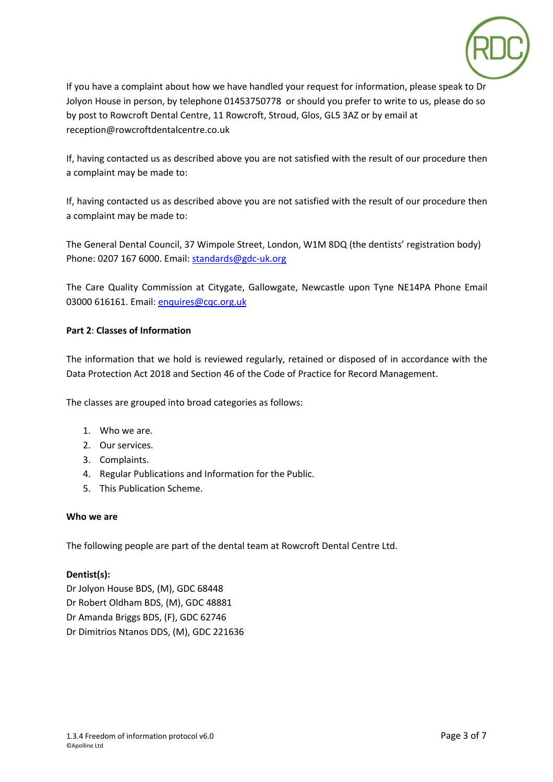

If you have a complaint about how we have handled your request for information, please speak to Dr Jolyon House in person, by telephone 01453750778 or should you prefer to write to us, please do so by post to Rowcroft Dental Centre, 11 Rowcroft, Stroud, Glos, GL5 3AZ or by email at reception@rowcroftdentalcentre.co.uk

If, having contacted us as described above you are not satisfied with the result of our procedure then a complaint may be made to:

If, having contacted us as described above you are not satisfied with the result of our procedure then a complaint may be made to:

The General Dental Council, 37 Wimpole Street, London, W1M 8DQ (the dentists' registration body) Phone: 0207 167 6000. Email: standards@gdc-uk.org

The Care Quality Commission at Citygate, Gallowgate, Newcastle upon Tyne NE14PA Phone Email 03000 616161. Email: enquires@cqc.org.uk

## **Part 2**: **Classes of Information**

The information that we hold is reviewed regularly, retained or disposed of in accordance with the Data Protection Act 2018 and Section 46 of the Code of Practice for Record Management.

The classes are grouped into broad categories as follows:

- 1. Who we are.
- 2. Our services.
- 3. Complaints.
- 4. Regular Publications and Information for the Public.
- 5. This Publication Scheme.

## **Who we are**

The following people are part of the dental team at Rowcroft Dental Centre Ltd.

#### **Dentist(s):**

Dr Jolyon House BDS, (M), GDC 68448 Dr Robert Oldham BDS, (M), GDC 48881 Dr Amanda Briggs BDS, (F), GDC 62746 Dr Dimitrios Ntanos DDS, (M), GDC 221636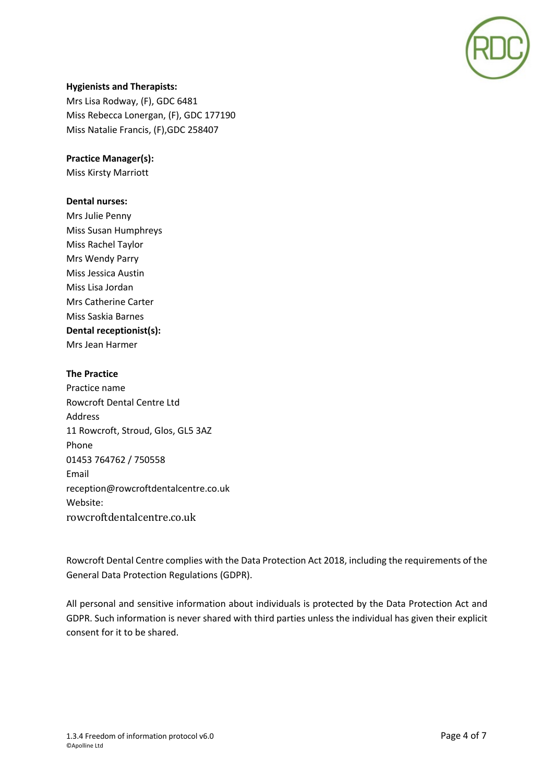

## **Hygienists and Therapists:**

Mrs Lisa Rodway, (F), GDC 6481 Miss Rebecca Lonergan, (F), GDC 177190 Miss Natalie Francis, (F),GDC 258407

## **Practice Manager(s):**

Miss Kirsty Marriott

#### **Dental nurses:**

Mrs Julie Penny Miss Susan Humphreys Miss Rachel Taylor Mrs Wendy Parry Miss Jessica Austin Miss Lisa Jordan Mrs Catherine Carter Miss Saskia Barnes **Dental receptionist(s):** Mrs Jean Harmer

#### **The Practice**

Practice name Rowcroft Dental Centre Ltd Address 11 Rowcroft, Stroud, Glos, GL5 3AZ Phone 01453 764762 / 750558 Email reception@rowcroftdentalcentre.co.uk Website: rowcroftdentalcentre.co.uk

Rowcroft Dental Centre complies with the Data Protection Act 2018, including the requirements of the General Data Protection Regulations (GDPR).

All personal and sensitive information about individuals is protected by the Data Protection Act and GDPR. Such information is never shared with third parties unless the individual has given their explicit consent for it to be shared.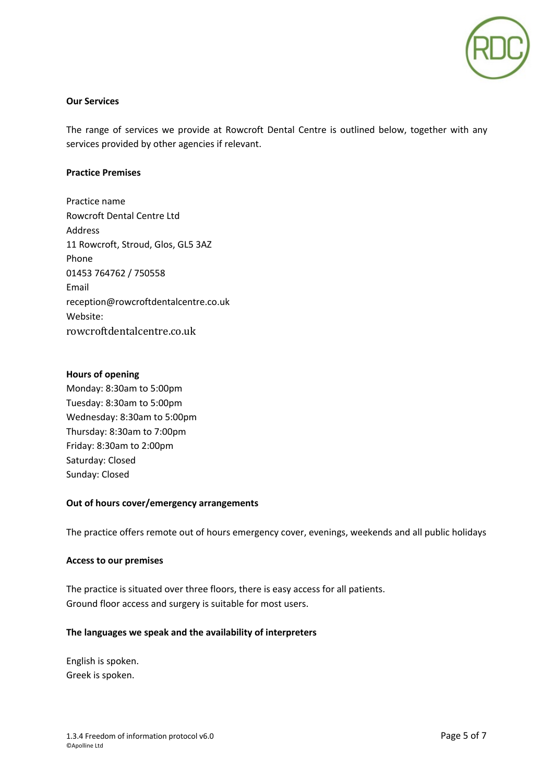

#### **Our Services**

The range of services we provide at Rowcroft Dental Centre is outlined below, together with any services provided by other agencies if relevant.

#### **Practice Premises**

Practice name Rowcroft Dental Centre Ltd Address 11 Rowcroft, Stroud, Glos, GL5 3AZ Phone 01453 764762 / 750558 Email reception@rowcroftdentalcentre.co.uk Website: rowcroftdentalcentre.co.uk

## **Hours of opening**

Monday: 8:30am to 5:00pm Tuesday: 8:30am to 5:00pm Wednesday: 8:30am to 5:00pm Thursday: 8:30am to 7:00pm Friday: 8:30am to 2:00pm Saturday: Closed Sunday: Closed

#### **Out of hours cover/emergency arrangements**

The practice offers remote out of hours emergency cover, evenings, weekends and all public holidays

#### **Access to our premises**

The practice is situated over three floors, there is easy access for all patients. Ground floor access and surgery is suitable for most users.

## **The languages we speak and the availability of interpreters**

English is spoken. Greek is spoken.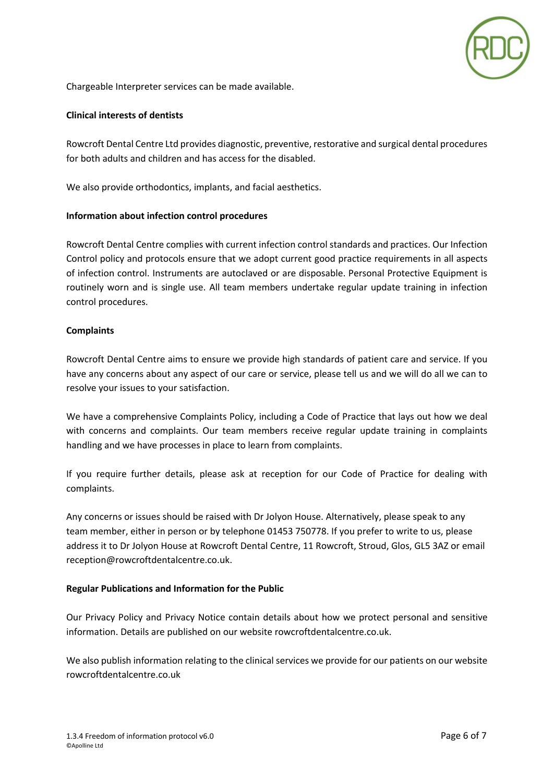

Chargeable Interpreter services can be made available.

#### **Clinical interests of dentists**

Rowcroft Dental Centre Ltd provides diagnostic, preventive, restorative and surgical dental procedures for both adults and children and has access for the disabled.

We also provide orthodontics, implants, and facial aesthetics.

#### **Information about infection control procedures**

Rowcroft Dental Centre complies with current infection control standards and practices. Our Infection Control policy and protocols ensure that we adopt current good practice requirements in all aspects of infection control. Instruments are autoclaved or are disposable. Personal Protective Equipment is routinely worn and is single use. All team members undertake regular update training in infection control procedures.

## **Complaints**

Rowcroft Dental Centre aims to ensure we provide high standards of patient care and service. If you have any concerns about any aspect of our care or service, please tell us and we will do all we can to resolve your issues to your satisfaction.

We have a comprehensive Complaints Policy, including a Code of Practice that lays out how we deal with concerns and complaints. Our team members receive regular update training in complaints handling and we have processes in place to learn from complaints.

If you require further details, please ask at reception for our Code of Practice for dealing with complaints.

Any concerns or issues should be raised with Dr Jolyon House. Alternatively, please speak to any team member, either in person or by telephone 01453 750778. If you prefer to write to us, please address it to Dr Jolyon House at Rowcroft Dental Centre, 11 Rowcroft, Stroud, Glos, GL5 3AZ or email reception@rowcroftdentalcentre.co.uk.

#### **Regular Publications and Information for the Public**

Our Privacy Policy and Privacy Notice contain details about how we protect personal and sensitive information. Details are published on our website rowcroftdentalcentre.co.uk.

We also publish information relating to the clinical services we provide for our patients on our website rowcroftdentalcentre.co.uk